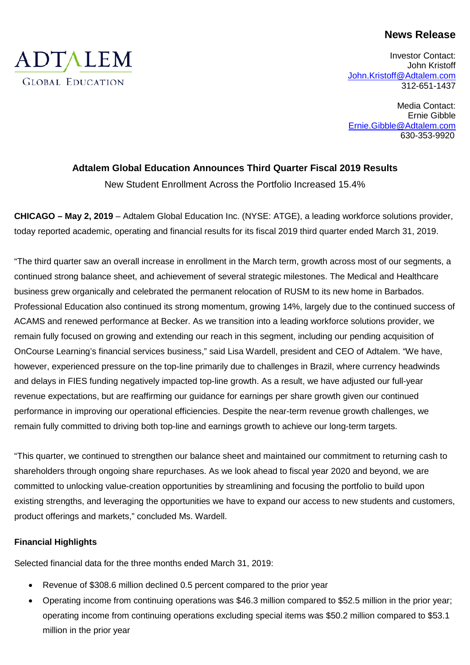# **News Release**

Investor Contact: John Kristoff [John.Kristoff@Adtalem.com](mailto:John.Kristoff@Adtalem.com) 312-651-1437

Media Contact: Ernie Gibble [Ernie.Gibble@Adtalem.com](mailto:Ernie.Gibble@Adtalem.com) 630-353-9920

# **Adtalem Global Education Announces Third Quarter Fiscal 2019 Results**

New Student Enrollment Across the Portfolio Increased 15.4%

**CHICAGO – May 2, 2019** – Adtalem Global Education Inc. (NYSE: ATGE), a leading workforce solutions provider, today reported academic, operating and financial results for its fiscal 2019 third quarter ended March 31, 2019.

"The third quarter saw an overall increase in enrollment in the March term, growth across most of our segments, a continued strong balance sheet, and achievement of several strategic milestones. The Medical and Healthcare business grew organically and celebrated the permanent relocation of RUSM to its new home in Barbados. Professional Education also continued its strong momentum, growing 14%, largely due to the continued success of ACAMS and renewed performance at Becker. As we transition into a leading workforce solutions provider, we remain fully focused on growing and extending our reach in this segment, including our pending acquisition of OnCourse Learning's financial services business," said Lisa Wardell, president and CEO of Adtalem. "We have, however, experienced pressure on the top-line primarily due to challenges in Brazil, where currency headwinds and delays in FIES funding negatively impacted top-line growth. As a result, we have adjusted our full-year revenue expectations, but are reaffirming our guidance for earnings per share growth given our continued performance in improving our operational efficiencies. Despite the near-term revenue growth challenges, we remain fully committed to driving both top-line and earnings growth to achieve our long-term targets.

"This quarter, we continued to strengthen our balance sheet and maintained our commitment to returning cash to shareholders through ongoing share repurchases. As we look ahead to fiscal year 2020 and beyond, we are committed to unlocking value-creation opportunities by streamlining and focusing the portfolio to build upon existing strengths, and leveraging the opportunities we have to expand our access to new students and customers, product offerings and markets," concluded Ms. Wardell.

# **Financial Highlights**

Selected financial data for the three months ended March 31, 2019:

- Revenue of \$308.6 million declined 0.5 percent compared to the prior year
- Operating income from continuing operations was \$46.3 million compared to \$52.5 million in the prior year; operating income from continuing operations excluding special items was \$50.2 million compared to \$53.1 million in the prior year

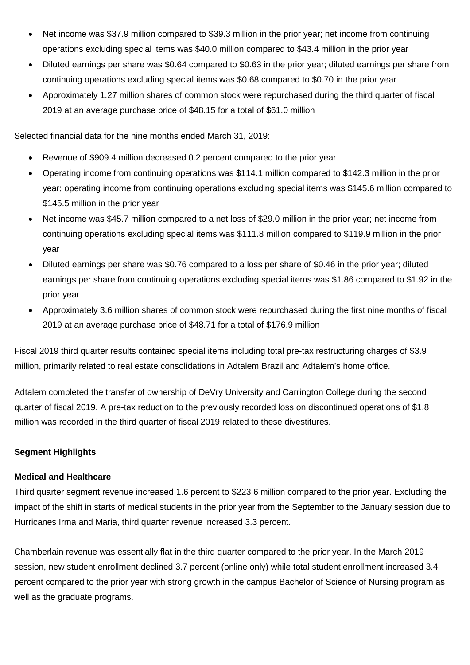- Net income was \$37.9 million compared to \$39.3 million in the prior year; net income from continuing operations excluding special items was \$40.0 million compared to \$43.4 million in the prior year
- Diluted earnings per share was \$0.64 compared to \$0.63 in the prior year; diluted earnings per share from continuing operations excluding special items was \$0.68 compared to \$0.70 in the prior year
- Approximately 1.27 million shares of common stock were repurchased during the third quarter of fiscal 2019 at an average purchase price of \$48.15 for a total of \$61.0 million

Selected financial data for the nine months ended March 31, 2019:

- Revenue of \$909.4 million decreased 0.2 percent compared to the prior year
- Operating income from continuing operations was \$114.1 million compared to \$142.3 million in the prior year; operating income from continuing operations excluding special items was \$145.6 million compared to \$145.5 million in the prior year
- Net income was \$45.7 million compared to a net loss of \$29.0 million in the prior year; net income from continuing operations excluding special items was \$111.8 million compared to \$119.9 million in the prior year
- Diluted earnings per share was \$0.76 compared to a loss per share of \$0.46 in the prior year; diluted earnings per share from continuing operations excluding special items was \$1.86 compared to \$1.92 in the prior year
- Approximately 3.6 million shares of common stock were repurchased during the first nine months of fiscal 2019 at an average purchase price of \$48.71 for a total of \$176.9 million

Fiscal 2019 third quarter results contained special items including total pre-tax restructuring charges of \$3.9 million, primarily related to real estate consolidations in Adtalem Brazil and Adtalem's home office.

Adtalem completed the transfer of ownership of DeVry University and Carrington College during the second quarter of fiscal 2019. A pre-tax reduction to the previously recorded loss on discontinued operations of \$1.8 million was recorded in the third quarter of fiscal 2019 related to these divestitures.

# **Segment Highlights**

## **Medical and Healthcare**

Third quarter segment revenue increased 1.6 percent to \$223.6 million compared to the prior year. Excluding the impact of the shift in starts of medical students in the prior year from the September to the January session due to Hurricanes Irma and Maria, third quarter revenue increased 3.3 percent.

Chamberlain revenue was essentially flat in the third quarter compared to the prior year. In the March 2019 session, new student enrollment declined 3.7 percent (online only) while total student enrollment increased 3.4 percent compared to the prior year with strong growth in the campus Bachelor of Science of Nursing program as well as the graduate programs.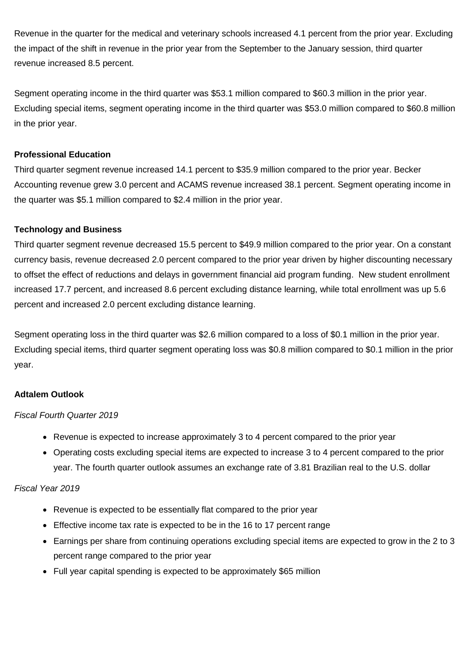Revenue in the quarter for the medical and veterinary schools increased 4.1 percent from the prior year. Excluding the impact of the shift in revenue in the prior year from the September to the January session, third quarter revenue increased 8.5 percent.

Segment operating income in the third quarter was \$53.1 million compared to \$60.3 million in the prior year. Excluding special items, segment operating income in the third quarter was \$53.0 million compared to \$60.8 million in the prior year.

# **Professional Education**

Third quarter segment revenue increased 14.1 percent to \$35.9 million compared to the prior year. Becker Accounting revenue grew 3.0 percent and ACAMS revenue increased 38.1 percent. Segment operating income in the quarter was \$5.1 million compared to \$2.4 million in the prior year.

## **Technology and Business**

Third quarter segment revenue decreased 15.5 percent to \$49.9 million compared to the prior year. On a constant currency basis, revenue decreased 2.0 percent compared to the prior year driven by higher discounting necessary to offset the effect of reductions and delays in government financial aid program funding. New student enrollment increased 17.7 percent, and increased 8.6 percent excluding distance learning, while total enrollment was up 5.6 percent and increased 2.0 percent excluding distance learning.

Segment operating loss in the third quarter was \$2.6 million compared to a loss of \$0.1 million in the prior year. Excluding special items, third quarter segment operating loss was \$0.8 million compared to \$0.1 million in the prior year.

# **Adtalem Outlook**

## *Fiscal Fourth Quarter 2019*

- Revenue is expected to increase approximately 3 to 4 percent compared to the prior year
- Operating costs excluding special items are expected to increase 3 to 4 percent compared to the prior year. The fourth quarter outlook assumes an exchange rate of 3.81 Brazilian real to the U.S. dollar

## *Fiscal Year 2019*

- Revenue is expected to be essentially flat compared to the prior year
- Effective income tax rate is expected to be in the 16 to 17 percent range
- Earnings per share from continuing operations excluding special items are expected to grow in the 2 to 3 percent range compared to the prior year
- Full year capital spending is expected to be approximately \$65 million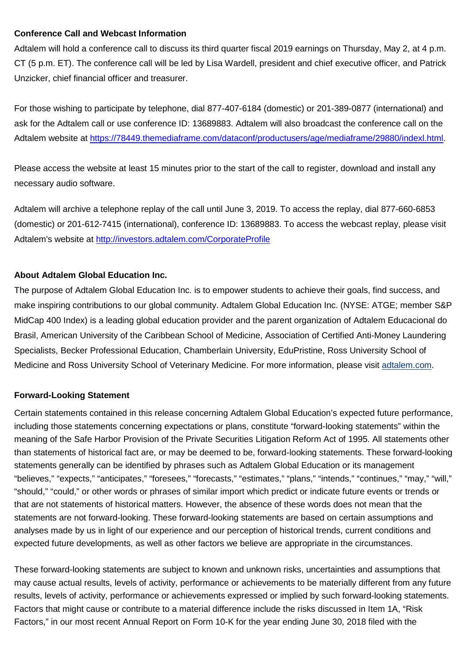## **Conference Call and Webcast Information**

Adtalem will hold a conference call to discuss its third quarter fiscal 2019 earnings on Thursday, May 2, at 4 p.m. CT (5 p.m. ET). The conference call will be led by Lisa Wardell, president and chief executive officer, and Patrick Unzicker, chief financial officer and treasurer.

For those wishing to participate by telephone, dial 877-407-6184 (domestic) or 201-389-0877 (international) and ask for the Adtalem call or use conference ID: 13689883. Adtalem will also broadcast the conference call on the Adtalem website at [https://78449.themediaframe.com/dataconf/productusers/age/mediaframe/29880/indexl.html.](https://78449.themediaframe.com/dataconf/productusers/age/mediaframe/29880/indexl.html)

Please access the website at least 15 minutes prior to the start of the call to register, download and install any necessary audio software.

Adtalem will archive a telephone replay of the call until June 3, 2019. To access the replay, dial 877-660-6853 (domestic) or 201-612-7415 (international), conference ID: 13689883. To access the webcast replay, please visit Adtalem's website at <http://investors.adtalem.com/CorporateProfile>

# **About Adtalem Global Education Inc.**

The purpose of Adtalem Global Education Inc. is to empower students to achieve their goals, find success, and make inspiring contributions to our global community. Adtalem Global Education Inc. (NYSE: ATGE; member S&P MidCap 400 Index) is a leading global education provider and the parent organization of Adtalem Educacional do Brasil, American University of the Caribbean School of Medicine, Association of Certified Anti-Money Laundering Specialists, Becker Professional Education, Chamberlain University, EduPristine, Ross University School of Medicine and Ross University School of Veterinary Medicine. For more information, please visit [adtalem.com.](http://cts.businesswire.com/ct/CT?id=smartlink&url=http%3A%2F%2Fwww.adtalem.com&esheet=51563555&newsitemid=20170525005022&lan=en-US&anchor=adtalem.com&index=1&md5=d4d6418be2cb563bc0e9ad7ce6de0e7f)

# **Forward-Looking Statement**

Certain statements contained in this release concerning Adtalem Global Education's expected future performance, including those statements concerning expectations or plans, constitute "forward-looking statements" within the meaning of the Safe Harbor Provision of the Private Securities Litigation Reform Act of 1995. All statements other than statements of historical fact are, or may be deemed to be, forward-looking statements. These forward-looking statements generally can be identified by phrases such as Adtalem Global Education or its management "believes," "expects," "anticipates," "foresees," "forecasts," "estimates," "plans," "intends," "continues," "may," "will," "should," "could," or other words or phrases of similar import which predict or indicate future events or trends or that are not statements of historical matters. However, the absence of these words does not mean that the statements are not forward-looking. These forward-looking statements are based on certain assumptions and analyses made by us in light of our experience and our perception of historical trends, current conditions and expected future developments, as well as other factors we believe are appropriate in the circumstances.

These forward-looking statements are subject to known and unknown risks, uncertainties and assumptions that may cause actual results, levels of activity, performance or achievements to be materially different from any future results, levels of activity, performance or achievements expressed or implied by such forward-looking statements. Factors that might cause or contribute to a material difference include the risks discussed in Item 1A, "Risk Factors," in our most recent Annual Report on Form 10-K for the year ending June 30, 2018 filed with the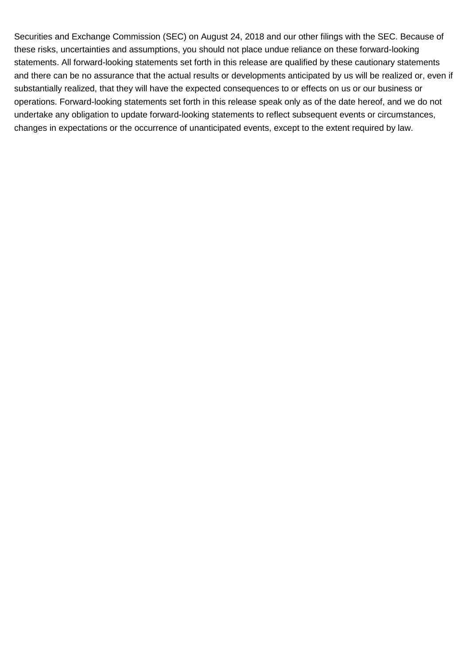Securities and Exchange Commission (SEC) on August 24, 2018 and our other filings with the SEC. Because of these risks, uncertainties and assumptions, you should not place undue reliance on these forward-looking statements. All forward-looking statements set forth in this release are qualified by these cautionary statements and there can be no assurance that the actual results or developments anticipated by us will be realized or, even if substantially realized, that they will have the expected consequences to or effects on us or our business or operations. Forward-looking statements set forth in this release speak only as of the date hereof, and we do not undertake any obligation to update forward-looking statements to reflect subsequent events or circumstances, changes in expectations or the occurrence of unanticipated events, except to the extent required by law.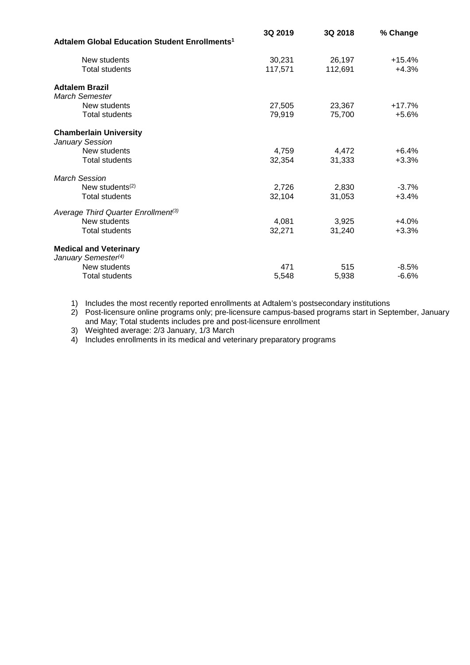|                                                                  | 3Q 2019 | 3Q 2018 | % Change |
|------------------------------------------------------------------|---------|---------|----------|
| Adtalem Global Education Student Enrollments <sup>1</sup>        |         |         |          |
| New students                                                     | 30,231  | 26,197  | $+15.4%$ |
| <b>Total students</b>                                            | 117,571 | 112,691 | $+4.3%$  |
| <b>Adtalem Brazil</b>                                            |         |         |          |
| <b>March Semester</b>                                            |         |         |          |
| New students                                                     | 27,505  | 23,367  | $+17.7%$ |
| <b>Total students</b>                                            | 79,919  | 75,700  | $+5.6%$  |
| <b>Chamberlain University</b><br>January Session                 |         |         |          |
| New students                                                     | 4,759   | 4,472   | $+6.4%$  |
| <b>Total students</b>                                            | 32,354  | 31,333  | $+3.3%$  |
| <b>March Session</b>                                             |         |         |          |
| New students <sup>(2)</sup>                                      | 2,726   | 2,830   | $-3.7%$  |
| <b>Total students</b>                                            | 32,104  | 31,053  | $+3.4%$  |
| Average Third Quarter Enrollment <sup>(3)</sup>                  |         |         |          |
| New students                                                     | 4,081   | 3,925   | $+4.0%$  |
| <b>Total students</b>                                            | 32,271  | 31,240  | $+3.3%$  |
| <b>Medical and Veterinary</b><br>January Semester <sup>(4)</sup> |         |         |          |
| New students                                                     | 471     | 515     | $-8.5%$  |
| <b>Total students</b>                                            | 5,548   | 5,938   | $-6.6%$  |

1) Includes the most recently reported enrollments at Adtalem's postsecondary institutions

2) Post-licensure online programs only; pre-licensure campus-based programs start in September, January and May; Total students includes pre and post-licensure enrollment

3) Weighted average: 2/3 January, 1/3 March

4) Includes enrollments in its medical and veterinary preparatory programs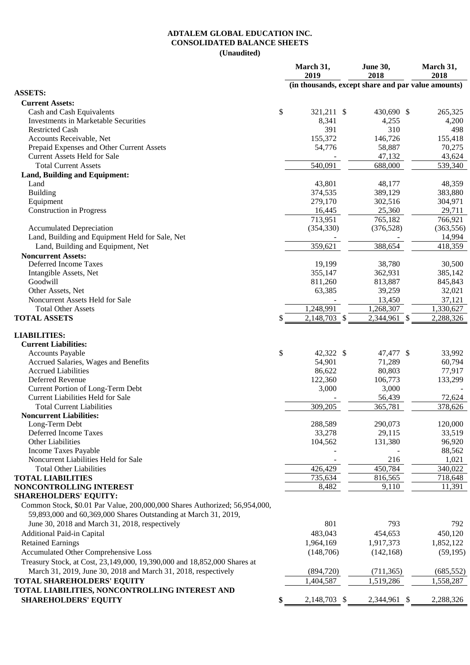### **ADTALEM GLOBAL EDUCATION INC. CONSOLIDATED BALANCE SHEETS (Unaudited)**

|                                                                            | March 31,<br>2019                                  | June 30,<br>2018 | March 31,<br>2018 |
|----------------------------------------------------------------------------|----------------------------------------------------|------------------|-------------------|
| <b>ASSETS:</b>                                                             | (in thousands, except share and par value amounts) |                  |                   |
|                                                                            |                                                    |                  |                   |
| <b>Current Assets:</b><br>Cash and Cash Equivalents                        | \$<br>321,211 \$                                   | 430,690 \$       | 265,325           |
| <b>Investments in Marketable Securities</b>                                | 8,341                                              | 4,255            | 4,200             |
| <b>Restricted Cash</b>                                                     | 391                                                | 310              | 498               |
| Accounts Receivable, Net                                                   | 155,372                                            | 146,726          | 155,418           |
| Prepaid Expenses and Other Current Assets                                  | 54,776                                             | 58,887           | 70,275            |
| <b>Current Assets Held for Sale</b>                                        |                                                    | 47,132           | 43,624            |
| <b>Total Current Assets</b>                                                | 540,091                                            | 688,000          | 539,340           |
| Land, Building and Equipment:                                              |                                                    |                  |                   |
| Land                                                                       | 43,801                                             | 48,177           | 48,359            |
| <b>Building</b>                                                            | 374,535                                            | 389,129          | 383,880           |
| Equipment                                                                  | 279,170                                            | 302,516          | 304,971           |
| <b>Construction in Progress</b>                                            | 16,445                                             | 25,360           | 29,711            |
|                                                                            | 713,951                                            | 765,182          | 766,921           |
| <b>Accumulated Depreciation</b>                                            | (354, 330)                                         | (376, 528)       | (363, 556)        |
| Land, Building and Equipment Held for Sale, Net                            |                                                    |                  | 14,994            |
| Land, Building and Equipment, Net                                          | 359,621                                            | 388,654          | 418,359           |
| <b>Noncurrent Assets:</b>                                                  |                                                    |                  |                   |
| Deferred Income Taxes                                                      | 19,199                                             | 38,780           | 30,500            |
| Intangible Assets, Net                                                     | 355,147                                            | 362,931          | 385,142           |
| Goodwill                                                                   | 811,260                                            | 813,887          | 845,843           |
| Other Assets, Net                                                          | 63,385                                             | 39,259           | 32,021            |
| Noncurrent Assets Held for Sale                                            |                                                    | 13,450           | 37,121            |
| <b>Total Other Assets</b>                                                  | 1,248,991                                          | 1,268,307        | 1,330,627         |
| <b>TOTAL ASSETS</b>                                                        | \$<br>2,148,703 \$                                 | 2,344,961 \$     | 2,288,326         |
|                                                                            |                                                    |                  |                   |
| <b>LIABILITIES:</b>                                                        |                                                    |                  |                   |
| <b>Current Liabilities:</b>                                                | \$<br>42,322 \$                                    | 47,477 \$        | 33,992            |
| <b>Accounts Payable</b><br>Accrued Salaries, Wages and Benefits            | 54,901                                             | 71,289           | 60,794            |
| <b>Accrued Liabilities</b>                                                 | 86,622                                             | 80,803           | 77,917            |
| Deferred Revenue                                                           | 122,360                                            | 106,773          | 133,299           |
| Current Portion of Long-Term Debt                                          | 3,000                                              | 3,000            |                   |
| <b>Current Liabilities Held for Sale</b>                                   |                                                    | 56,439           | 72,624            |
| <b>Total Current Liabilities</b>                                           | 309,205                                            | 365,781          | 378,626           |
| <b>Noncurrent Liabilities:</b>                                             |                                                    |                  |                   |
| Long-Term Debt                                                             | 288,589                                            | 290,073          | 120,000           |
| Deferred Income Taxes                                                      | 33,278                                             | 29,115           | 33,519            |
| Other Liabilities                                                          | 104,562                                            | 131,380          | 96,920            |
| Income Taxes Payable                                                       |                                                    |                  | 88,562            |
| Noncurrent Liabilities Held for Sale                                       |                                                    | 216              | 1,021             |
| <b>Total Other Liabilities</b>                                             | 426,429                                            | 450,784          | 340,022           |
| <b>TOTAL LIABILITIES</b>                                                   | 735,634                                            | 816,565          | 718,648           |
| NONCONTROLLING INTEREST                                                    | 8,482                                              | 9,110            | 11,391            |
| <b>SHAREHOLDERS' EQUITY:</b>                                               |                                                    |                  |                   |
| Common Stock, \$0.01 Par Value, 200,000,000 Shares Authorized; 56,954,000, |                                                    |                  |                   |
| 59,893,000 and 60,369,000 Shares Outstanding at March 31, 2019,            |                                                    |                  |                   |
| June 30, 2018 and March 31, 2018, respectively                             | 801                                                | 793              | 792               |
| Additional Paid-in Capital                                                 | 483,043                                            | 454,653          | 450,120           |
| <b>Retained Earnings</b>                                                   | 1,964,169                                          | 1,917,373        | 1,852,122         |
| Accumulated Other Comprehensive Loss                                       | (148,706)                                          | (142, 168)       | (59, 195)         |
| Treasury Stock, at Cost, 23,149,000, 19,390,000 and 18,852,000 Shares at   |                                                    |                  |                   |
| March 31, 2019, June 30, 2018 and March 31, 2018, respectively             | (894, 720)                                         | (711, 365)       | (685, 552)        |
| <b>TOTAL SHAREHOLDERS' EQUITY</b>                                          | 1,404,587                                          | 1,519,286        | 1,558,287         |
| TOTAL LIABILITIES, NONCONTROLLING INTEREST AND                             |                                                    |                  |                   |
| <b>SHAREHOLDERS' EQUITY</b>                                                | \$<br>2,148,703 \$                                 | 2,344,961 \$     | 2,288,326         |
|                                                                            |                                                    |                  |                   |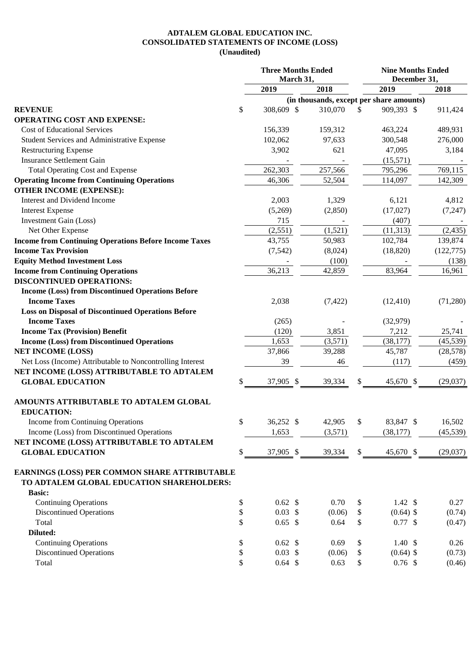### **ADTALEM GLOBAL EDUCATION INC. CONSOLIDATED STATEMENTS OF INCOME (LOSS) (Unaudited)**

|                                                                                            | <b>Three Months Ended</b> | March 31, |          |    | <b>Nine Months Ended</b><br>December 31, |            |
|--------------------------------------------------------------------------------------------|---------------------------|-----------|----------|----|------------------------------------------|------------|
|                                                                                            | 2019                      |           | 2018     |    | 2019                                     | 2018       |
|                                                                                            |                           |           |          |    | (in thousands, except per share amounts) |            |
| <b>REVENUE</b>                                                                             | \$<br>308,609 \$          |           | 310,070  | \$ | 909,393 \$                               | 911,424    |
| <b>OPERATING COST AND EXPENSE:</b>                                                         |                           |           |          |    |                                          |            |
| <b>Cost of Educational Services</b>                                                        | 156,339                   |           | 159,312  |    | 463,224                                  | 489,931    |
| Student Services and Administrative Expense                                                | 102,062                   |           | 97,633   |    | 300,548                                  | 276,000    |
| <b>Restructuring Expense</b>                                                               | 3,902                     |           | 621      |    | 47,095                                   | 3,184      |
| <b>Insurance Settlement Gain</b>                                                           |                           |           |          |    | (15,571)                                 |            |
| <b>Total Operating Cost and Expense</b>                                                    | 262,303                   |           | 257,566  |    | 795,296                                  | 769,115    |
| <b>Operating Income from Continuing Operations</b>                                         | 46,306                    |           | 52,504   |    | 114,097                                  | 142,309    |
| <b>OTHER INCOME (EXPENSE):</b>                                                             |                           |           |          |    |                                          |            |
| Interest and Dividend Income                                                               | 2,003                     |           | 1,329    |    | 6,121                                    | 4,812      |
| <b>Interest Expense</b>                                                                    | (5,269)                   |           | (2,850)  |    | (17,027)                                 | (7, 247)   |
| Investment Gain (Loss)                                                                     | 715                       |           |          |    | (407)                                    |            |
| Net Other Expense                                                                          | (2,551)                   |           | (1,521)  |    | (11, 313)                                | (2, 435)   |
| <b>Income from Continuing Operations Before Income Taxes</b>                               | 43,755                    |           | 50,983   |    | 102,784                                  | 139,874    |
| <b>Income Tax Provision</b>                                                                | (7, 542)                  |           | (8,024)  |    | (18, 820)                                | (122, 775) |
| <b>Equity Method Investment Loss</b>                                                       |                           |           | (100)    |    |                                          | (138)      |
| <b>Income from Continuing Operations</b>                                                   | 36,213                    |           | 42,859   |    | 83,964                                   | 16,961     |
| <b>DISCONTINUED OPERATIONS:</b>                                                            |                           |           |          |    |                                          |            |
| <b>Income (Loss) from Discontinued Operations Before</b>                                   |                           |           |          |    |                                          |            |
| <b>Income Taxes</b>                                                                        | 2,038                     |           | (7, 422) |    | (12, 410)                                | (71,280)   |
| <b>Loss on Disposal of Discontinued Operations Before</b>                                  |                           |           |          |    |                                          |            |
| <b>Income Taxes</b>                                                                        | (265)                     |           |          |    | (32, 979)                                |            |
| <b>Income Tax (Provision) Benefit</b>                                                      | (120)                     |           | 3,851    |    | 7,212                                    | 25,741     |
|                                                                                            | 1,653                     |           |          |    |                                          |            |
| <b>Income (Loss) from Discontinued Operations</b>                                          |                           |           | (3,571)  |    | (38, 177)                                | (45, 539)  |
| <b>NET INCOME (LOSS)</b>                                                                   | 37,866                    |           | 39,288   |    | 45,787                                   | (28, 578)  |
| Net Loss (Income) Attributable to Noncontrolling Interest                                  | 39                        |           | 46       |    | (117)                                    | (459)      |
| NET INCOME (LOSS) ATTRIBUTABLE TO ADTALEM                                                  |                           |           |          |    |                                          |            |
| <b>GLOBAL EDUCATION</b>                                                                    | \$<br>37,905 \$           |           | 39,334   | S  | 45,670 \$                                | (29,037)   |
| AMOUNTS ATTRIBUTABLE TO ADTALEM GLOBAL<br><b>EDUCATION:</b>                                |                           |           |          |    |                                          |            |
| Income from Continuing Operations                                                          | \$<br>36,252 \$           |           | 42,905   | \$ | 83,847 \$                                | 16,502     |
| Income (Loss) from Discontinued Operations                                                 | 1,653                     |           | (3,571)  |    | (38, 177)                                | (45, 539)  |
| NET INCOME (LOSS) ATTRIBUTABLE TO ADTALEM                                                  |                           |           |          |    |                                          |            |
| <b>GLOBAL EDUCATION</b>                                                                    | \$<br>37,905 \$           |           | 39,334   | \$ | 45,670 \$                                | (29,037)   |
| EARNINGS (LOSS) PER COMMON SHARE ATTRIBUTABLE<br>TO ADTALEM GLOBAL EDUCATION SHAREHOLDERS: |                           |           |          |    |                                          |            |
| <b>Basic:</b>                                                                              |                           |           |          |    |                                          |            |
| <b>Continuing Operations</b>                                                               | \$<br>$0.62 \text{ }$ \$  |           | 0.70     | \$ | $1.42 \text{ }$ \$                       | 0.27       |
| <b>Discontinued Operations</b>                                                             | \$<br>$0.03 \text{ }$ \$  |           | (0.06)   | \$ | $(0.64)$ \$                              | (0.74)     |
| Total                                                                                      | \$<br>$0.65$ \$           |           | 0.64     | \$ | $0.77$ \$                                | (0.47)     |
| Diluted:                                                                                   |                           |           |          |    |                                          |            |
| <b>Continuing Operations</b>                                                               | \$<br>$0.62 \text{ }$ \$  |           | 0.69     | \$ | $1.40 \text{ }$ \$                       | 0.26       |
| <b>Discontinued Operations</b>                                                             | \$<br>$0.03 \text{ }$ \$  |           | (0.06)   | \$ | $(0.64)$ \$                              | (0.73)     |
| Total                                                                                      | \$<br>$0.64$ \$           |           | 0.63     | \$ | $0.76$ \$                                | (0.46)     |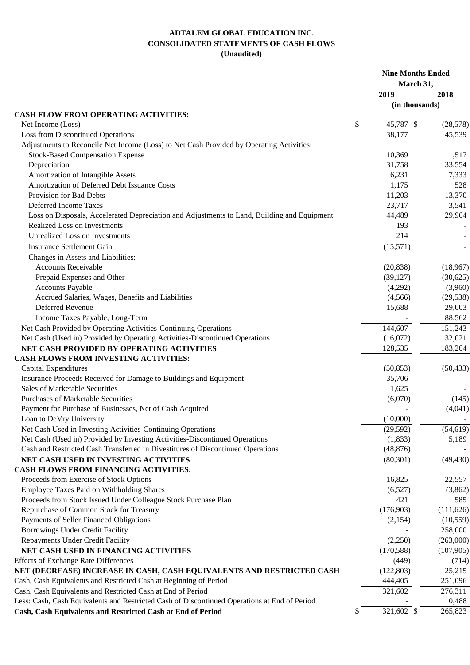## **ADTALEM GLOBAL EDUCATION INC. CONSOLIDATED STATEMENTS OF CASH FLOWS (Unaudited)**

|                                                                                              | <b>Nine Months Ended</b><br>March 31, |            |
|----------------------------------------------------------------------------------------------|---------------------------------------|------------|
|                                                                                              | 2019                                  | 2018       |
|                                                                                              | (in thousands)                        |            |
| <b>CASH FLOW FROM OPERATING ACTIVITIES:</b>                                                  |                                       |            |
| Net Income (Loss)                                                                            | \$<br>45,787 \$                       | (28, 578)  |
| Loss from Discontinued Operations                                                            | 38,177                                | 45,539     |
| Adjustments to Reconcile Net Income (Loss) to Net Cash Provided by Operating Activities:     |                                       |            |
| <b>Stock-Based Compensation Expense</b>                                                      | 10,369                                | 11,517     |
| Depreciation                                                                                 | 31,758                                | 33,554     |
| Amortization of Intangible Assets                                                            | 6,231                                 | 7,333      |
| Amortization of Deferred Debt Issuance Costs                                                 | 1,175                                 | 528        |
| Provision for Bad Debts                                                                      | 11,203                                | 13,370     |
| Deferred Income Taxes                                                                        | 23,717                                | 3,541      |
| Loss on Disposals, Accelerated Depreciation and Adjustments to Land, Building and Equipment  | 44,489                                | 29,964     |
| <b>Realized Loss on Investments</b>                                                          | 193                                   |            |
| <b>Unrealized Loss on Investments</b>                                                        | 214                                   |            |
| <b>Insurance Settlement Gain</b>                                                             | (15,571)                              |            |
| Changes in Assets and Liabilities:                                                           |                                       |            |
| <b>Accounts Receivable</b>                                                                   | (20, 838)                             | (18,967)   |
| Prepaid Expenses and Other                                                                   | (39, 127)                             | (30,625)   |
| <b>Accounts Payable</b>                                                                      | (4,292)                               | (3,960)    |
| Accrued Salaries, Wages, Benefits and Liabilities                                            | (4,566)                               | (29, 538)  |
| Deferred Revenue                                                                             | 15,688                                | 29,003     |
| Income Taxes Payable, Long-Term                                                              |                                       | 88,562     |
| Net Cash Provided by Operating Activities-Continuing Operations                              | 144,607                               | 151,243    |
| Net Cash (Used in) Provided by Operating Activities-Discontinued Operations                  | (16,072)                              | 32,021     |
| NET CASH PROVIDED BY OPERATING ACTIVITIES                                                    | 128,535                               | 183,264    |
| CASH FLOWS FROM INVESTING ACTIVITIES:                                                        |                                       |            |
| Capital Expenditures                                                                         | (50, 853)                             | (50, 433)  |
| Insurance Proceeds Received for Damage to Buildings and Equipment                            | 35,706                                |            |
| <b>Sales of Marketable Securities</b>                                                        | 1,625                                 |            |
| <b>Purchases of Marketable Securities</b>                                                    | (6,070)                               | (145)      |
| Payment for Purchase of Businesses, Net of Cash Acquired                                     |                                       | (4,041)    |
| Loan to DeVry University                                                                     | (10,000)                              |            |
| Net Cash Used in Investing Activities-Continuing Operations                                  | (29, 592)                             | (54, 619)  |
| Net Cash (Used in) Provided by Investing Activities-Discontinued Operations                  | (1,833)                               | 5,189      |
| Cash and Restricted Cash Transferred in Divestitures of Discontinued Operations              | (48, 876)                             |            |
| NET CASH USED IN INVESTING ACTIVITIES                                                        | (80, 301)                             | (49, 430)  |
| <b>CASH FLOWS FROM FINANCING ACTIVITIES:</b>                                                 |                                       |            |
| Proceeds from Exercise of Stock Options                                                      | 16,825                                | 22,557     |
| Employee Taxes Paid on Withholding Shares                                                    | (6,527)                               | (3,862)    |
| Proceeds from Stock Issued Under Colleague Stock Purchase Plan                               | 421                                   | 585        |
| Repurchase of Common Stock for Treasury                                                      | (176,903)                             | (111, 626) |
| Payments of Seller Financed Obligations                                                      | (2,154)                               | (10, 559)  |
| Borrowings Under Credit Facility                                                             |                                       | 258,000    |
|                                                                                              | (2,250)                               | (263,000)  |
| Repayments Under Credit Facility                                                             |                                       |            |
| NET CASH USED IN FINANCING ACTIVITIES                                                        | (170, 588)                            | (107,905)  |
| <b>Effects of Exchange Rate Differences</b>                                                  | (449)                                 | (714)      |
| NET (DECREASE) INCREASE IN CASH, CASH EQUIVALENTS AND RESTRICTED CASH                        | (122, 803)                            | 25,215     |
| Cash, Cash Equivalents and Restricted Cash at Beginning of Period                            | 444,405                               | 251,096    |
| Cash, Cash Equivalents and Restricted Cash at End of Period                                  | 321,602                               | 276,311    |
| Less: Cash, Cash Equivalents and Restricted Cash of Discontinued Operations at End of Period |                                       | 10,488     |
| Cash, Cash Equivalents and Restricted Cash at End of Period                                  | \$<br>321,602 \$                      | 265,823    |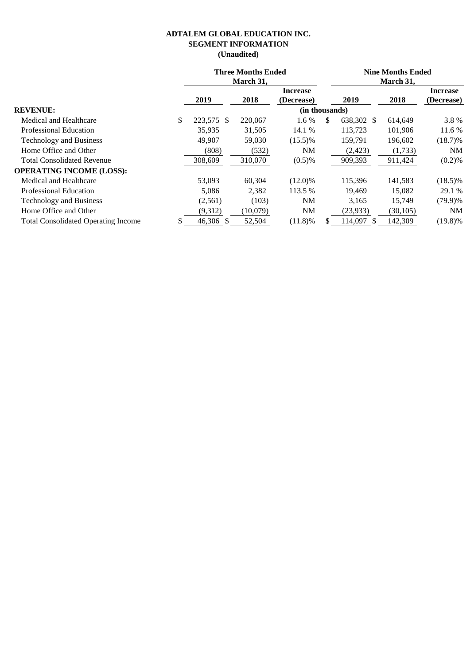## **ADTALEM GLOBAL EDUCATION INC. SEGMENT INFORMATION (Unaudited)**

|                                            |                  | <b>Three Months Ended</b><br>March 31, |                               |    |            | <b>Nine Months Ended</b><br>March 31, |                               |  |
|--------------------------------------------|------------------|----------------------------------------|-------------------------------|----|------------|---------------------------------------|-------------------------------|--|
|                                            | 2019             | 2018                                   | <b>Increase</b><br>(Decrease) |    | 2019       | 2018                                  | <b>Increase</b><br>(Decrease) |  |
| <b>REVENUE:</b>                            |                  |                                        | (in thousands)                |    |            |                                       |                               |  |
| Medical and Healthcare                     | \$<br>223,575 \$ | 220,067                                | 1.6 %                         | S  | 638,302 \$ | 614,649                               | 3.8%                          |  |
| <b>Professional Education</b>              | 35,935           | 31,505                                 | 14.1 %                        |    | 113,723    | 101,906                               | 11.6 %                        |  |
| Technology and Business                    | 49,907           | 59,030                                 | $(15.5)\%$                    |    | 159.791    | 196,602                               | $(18.7)\%$                    |  |
| Home Office and Other                      | (808)            | (532)                                  | NM                            |    | (2,423)    | (1,733)                               | NM                            |  |
| <b>Total Consolidated Revenue</b>          | 308,609          | 310,070                                | $(0.5)\%$                     |    | 909,393    | 911,424                               | (0.2)%                        |  |
| <b>OPERATING INCOME (LOSS):</b>            |                  |                                        |                               |    |            |                                       |                               |  |
| Medical and Healthcare                     | 53,093           | 60,304                                 | $(12.0)\%$                    |    | 115,396    | 141,583                               | $(18.5)\%$                    |  |
| <b>Professional Education</b>              | 5,086            | 2,382                                  | 113.5 %                       |    | 19,469     | 15,082                                | 29.1 %                        |  |
| Technology and Business                    | (2,561)          | (103)                                  | NM                            |    | 3,165      | 15.749                                | $(79.9)\%$                    |  |
| Home Office and Other                      | (9,312)          | (10,079)                               | NM                            |    | (23,933)   | (30, 105)                             | NM                            |  |
| <b>Total Consolidated Operating Income</b> | 46,306 \$        | 52,504                                 | $(11.8)\%$                    | \$ | 114,097    | 142,309                               | $(19.8)\%$                    |  |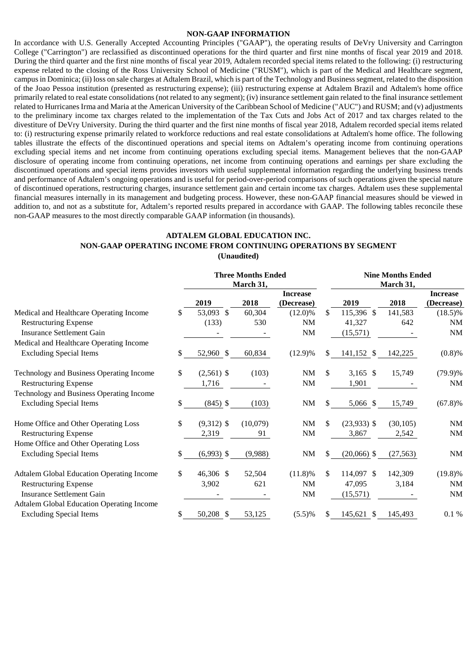#### **NON-GAAP INFORMATION**

In accordance with U.S. Generally Accepted Accounting Principles ("GAAP"), the operating results of DeVry University and Carrington College ("Carrington") are reclassified as discontinued operations for the third quarter and first nine months of fiscal year 2019 and 2018. During the third quarter and the first nine months of fiscal year 2019, Adtalem recorded special items related to the following: (i) restructuring expense related to the closing of the Ross University School of Medicine ("RUSM"), which is part of the Medical and Healthcare segment, campus in Dominica; (ii) loss on sale charges at Adtalem Brazil, which is part of the Technology and Business segment, related to the disposition of the Joao Pessoa institution (presented as restructuring expense); (iii) restructuring expense at Adtalem Brazil and Adtalem's home office primarily related to real estate consolidations (not related to any segment); (iv) insurance settlement gain related to the final insurance settlement related to Hurricanes Irma and Maria at the American University of the Caribbean School of Medicine ("AUC") and RUSM; and (v) adjustments to the preliminary income tax charges related to the implementation of the Tax Cuts and Jobs Act of 2017 and tax charges related to the divestiture of DeVry University. During the third quarter and the first nine months of fiscal year 2018, Adtalem recorded special items related to: (i) restructuring expense primarily related to workforce reductions and real estate consolidations at Adtalem's home office. The following tables illustrate the effects of the discontinued operations and special items on Adtalem's operating income from continuing operations excluding special items and net income from continuing operations excluding special items. Management believes that the non-GAAP disclosure of operating income from continuing operations, net income from continuing operations and earnings per share excluding the discontinued operations and special items provides investors with useful supplemental information regarding the underlying business trends and performance of Adtalem's ongoing operations and is useful for period-over-period comparisons of such operations given the special nature of discontinued operations, restructuring charges, insurance settlement gain and certain income tax charges. Adtalem uses these supplemental financial measures internally in its management and budgeting process. However, these non-GAAP financial measures should be viewed in addition to, and not as a substitute for, Adtalem's reported results prepared in accordance with GAAP. The following tables reconcile these non-GAAP measures to the most directly comparable GAAP information (in thousands).

#### **ADTALEM GLOBAL EDUCATION INC. NON-GAAP OPERATING INCOME FROM CONTINUING OPERATIONS BY SEGMENT (Unaudited)**

|                                                  |    |                         | <b>Three Months Ended</b> |                 |    |               | <b>Nine Months Ended</b> |                 |
|--------------------------------------------------|----|-------------------------|---------------------------|-----------------|----|---------------|--------------------------|-----------------|
|                                                  |    |                         | March 31,                 |                 |    |               | March 31,                |                 |
|                                                  |    |                         |                           | <b>Increase</b> |    |               |                          | <b>Increase</b> |
|                                                  |    | 2019                    | 2018                      | (Decrease)      |    | 2019          | 2018                     | (Decrease)      |
| Medical and Healthcare Operating Income          | S  | 53,093 \$               | 60,304                    | $(12.0)\%$      | \$ | 115,396 \$    | 141,583                  | $(18.5)\%$      |
| <b>Restructuring Expense</b>                     |    | (133)                   | 530                       | NM              |    | 41,327        | 642                      | NM              |
| <b>Insurance Settlement Gain</b>                 |    |                         |                           | NM              |    | (15, 571)     |                          | <b>NM</b>       |
| Medical and Healthcare Operating Income          |    |                         |                           |                 |    |               |                          |                 |
| <b>Excluding Special Items</b>                   | \$ | 52,960 \$               | 60,834                    | $(12.9)\%$      | S. | 141,152 \$    | 142,225                  | (0.8)%          |
| Technology and Business Operating Income         | \$ | $(2,561)$ \$            | (103)                     | NM              | \$ | $3,165$ \$    | 15,749                   | $(79.9)\%$      |
| <b>Restructuring Expense</b>                     |    | 1,716                   |                           | $\rm{NM}$       |    | 1,901         |                          | $\rm{NM}$       |
| Technology and Business Operating Income         |    |                         |                           |                 |    |               |                          |                 |
| <b>Excluding Special Items</b>                   | \$ | $(845)$ \$              | (103)                     | NM              | \$ | 5,066 \$      | 15,749                   | $(67.8)\%$      |
| Home Office and Other Operating Loss             | \$ | $(9,312)$ \$            | (10,079)                  | NM              | \$ | $(23,933)$ \$ | (30, 105)                | <b>NM</b>       |
| <b>Restructuring Expense</b>                     |    | 2,319                   | 91                        | <b>NM</b>       |    | 3,867         | 2,542                    | <b>NM</b>       |
| Home Office and Other Operating Loss             |    |                         |                           |                 |    |               |                          |                 |
| <b>Excluding Special Items</b>                   | \$ | $(6,993)$ \$            | (9,988)                   | NM              | \$ | $(20,066)$ \$ | (27, 563)                | <b>NM</b>       |
| <b>Adtalem Global Education Operating Income</b> | \$ | 46,306 \$               | 52,504                    | $(11.8)\%$      | \$ | 114,097 \$    | 142,309                  | $(19.8)\%$      |
| <b>Restructuring Expense</b>                     |    | 3,902                   | 621                       | NM              |    | 47,095        | 3,184                    | NM              |
| <b>Insurance Settlement Gain</b>                 |    |                         |                           | <b>NM</b>       |    | (15, 571)     |                          | <b>NM</b>       |
| <b>Adtalem Global Education Operating Income</b> |    |                         |                           |                 |    |               |                          |                 |
| <b>Excluding Special Items</b>                   |    | 50,208<br>$\mathcal{S}$ | 53,125                    | (5.5)%          |    | 145,621<br>-S | 145,493                  | 0.1%            |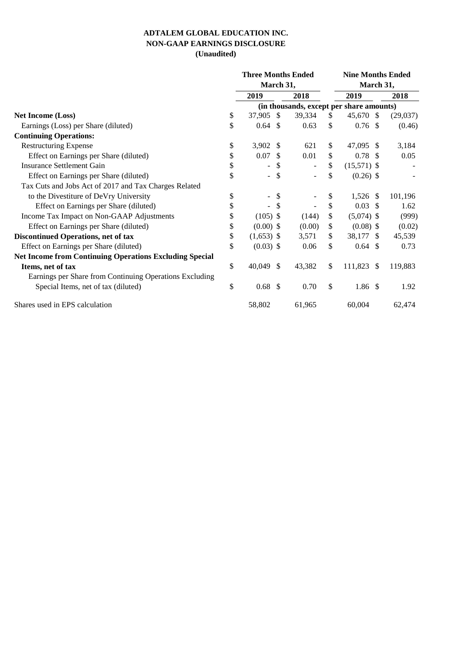## **ADTALEM GLOBAL EDUCATION INC. NON-GAAP EARNINGS DISCLOSURE (Unaudited)**

|                                                                | <b>Three Months Ended</b>      |               |        | <b>Nine Months Ended</b> |                                          |  |          |  |  |  |
|----------------------------------------------------------------|--------------------------------|---------------|--------|--------------------------|------------------------------------------|--|----------|--|--|--|
|                                                                | March 31,                      |               |        |                          | March 31,                                |  |          |  |  |  |
|                                                                | 2019                           |               | 2018   |                          | 2019                                     |  | 2018     |  |  |  |
|                                                                |                                |               |        |                          | (in thousands, except per share amounts) |  |          |  |  |  |
| <b>Net Income (Loss)</b>                                       | \$<br>37,905 \$                |               | 39,334 | S                        | 45,670 \$                                |  | (29,037) |  |  |  |
| Earnings (Loss) per Share (diluted)                            | \$<br>$0.64$ \$                |               | 0.63   | \$                       | $0.76$ \$                                |  | (0.46)   |  |  |  |
| <b>Continuing Operations:</b>                                  |                                |               |        |                          |                                          |  |          |  |  |  |
| <b>Restructuring Expense</b>                                   | \$<br>3,902 $$$                |               | 621    | \$                       | 47,095 \$                                |  | 3,184    |  |  |  |
| Effect on Earnings per Share (diluted)                         | \$<br>$0.07$ \$                |               | 0.01   | \$                       | $0.78$ \$                                |  | 0.05     |  |  |  |
| Insurance Settlement Gain                                      | \$<br>$\overline{a}$           | \$            |        | \$                       | $(15,571)$ \$                            |  |          |  |  |  |
| Effect on Earnings per Share (diluted)                         | \$<br>$\overline{\phantom{a}}$ | \$            |        | \$                       | $(0.26)$ \$                              |  |          |  |  |  |
| Tax Cuts and Jobs Act of 2017 and Tax Charges Related          |                                |               |        |                          |                                          |  |          |  |  |  |
| to the Divestiture of DeVry University                         | \$<br>$\overline{\phantom{a}}$ | $\mathbb{S}$  |        | \$                       | $1,526$ \$                               |  | 101,196  |  |  |  |
| Effect on Earnings per Share (diluted)                         | \$<br>$\blacksquare$           | $\mathbb{S}$  |        | \$                       | $0.03$ \$                                |  | 1.62     |  |  |  |
| Income Tax Impact on Non-GAAP Adjustments                      | \$<br>$(105)$ \$               |               | (144)  | \$                       | $(5,074)$ \$                             |  | (999)    |  |  |  |
| Effect on Earnings per Share (diluted)                         | \$<br>$(0.00)$ \$              |               | (0.00) | \$                       | $(0.08)$ \$                              |  | (0.02)   |  |  |  |
| Discontinued Operations, net of tax                            | \$<br>$(1,653)$ \$             |               | 3,571  | \$                       | 38,177 \$                                |  | 45,539   |  |  |  |
| Effect on Earnings per Share (diluted)                         | \$<br>$(0.03)$ \$              |               | 0.06   | \$                       | $0.64$ \$                                |  | 0.73     |  |  |  |
| <b>Net Income from Continuing Operations Excluding Special</b> |                                |               |        |                          |                                          |  |          |  |  |  |
| Items, net of tax                                              | \$<br>40,049                   | <sup>\$</sup> | 43,382 | \$                       | 111,823 \$                               |  | 119,883  |  |  |  |
| Earnings per Share from Continuing Operations Excluding        |                                |               |        |                          |                                          |  |          |  |  |  |
| Special Items, net of tax (diluted)                            | \$<br>$0.68$ \$                |               | 0.70   | \$                       | $1.86\;$ \$                              |  | 1.92     |  |  |  |
| Shares used in EPS calculation                                 | 58,802                         |               | 61,965 |                          | 60,004                                   |  | 62,474   |  |  |  |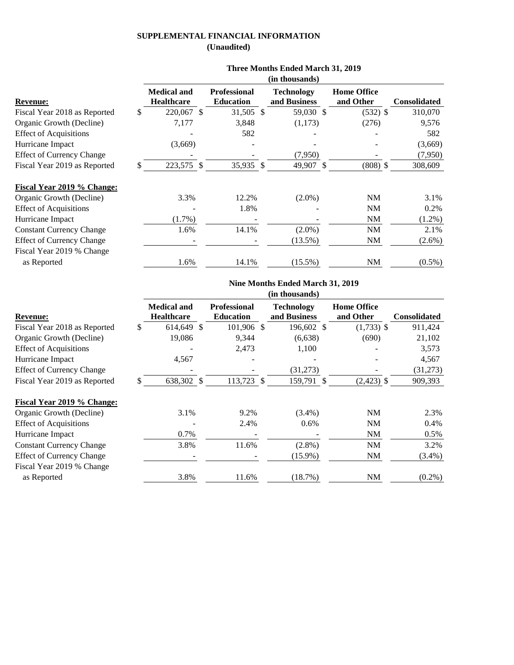## **SUPPLEMENTAL FINANCIAL INFORMATION (Unaudited)**

|                                  |                                         |                                         | (in thousands)                    |                                 |                     |
|----------------------------------|-----------------------------------------|-----------------------------------------|-----------------------------------|---------------------------------|---------------------|
| <b>Revenue:</b>                  | <b>Medical and</b><br><b>Healthcare</b> | <b>Professional</b><br><b>Education</b> | <b>Technology</b><br>and Business | <b>Home Office</b><br>and Other | <b>Consolidated</b> |
| Fiscal Year 2018 as Reported     | 220,067 \$                              | 31,505 \$                               | 59,030 \$                         | $(532)$ \$                      | 310,070             |
| Organic Growth (Decline)         | 7,177                                   | 3,848                                   | (1,173)                           | (276)                           | 9,576               |
| <b>Effect of Acquisitions</b>    |                                         | 582                                     |                                   |                                 | 582                 |
| Hurricane Impact                 | (3,669)                                 |                                         |                                   |                                 | (3,669)             |
| <b>Effect of Currency Change</b> |                                         |                                         | (7,950)                           |                                 | (7,950)             |
| Fiscal Year 2019 as Reported     | 223,575 \$                              | 35,935 \$                               | 49,907 \$                         | $(808)$ \$                      | 308,609             |
| Fiscal Year 2019 % Change:       |                                         |                                         |                                   |                                 |                     |
| Organic Growth (Decline)         | 3.3%                                    | 12.2%                                   | $(2.0\%)$                         | <b>NM</b>                       | 3.1%                |
| <b>Effect of Acquisitions</b>    |                                         | 1.8%                                    |                                   | NM                              | 0.2%                |
| Hurricane Impact                 | $(1.7\%)$                               |                                         |                                   | <b>NM</b>                       | $(1.2\%)$           |
| <b>Constant Currency Change</b>  | 1.6%                                    | 14.1%                                   | $(2.0\%)$                         | <b>NM</b>                       | 2.1%                |
| <b>Effect of Currency Change</b> |                                         |                                         | $(13.5\%)$                        | <b>NM</b>                       | (2.6%)              |
| Fiscal Year 2019 % Change        |                                         |                                         |                                   |                                 |                     |
| as Reported                      | 1.6%                                    | 14.1%                                   | $(15.5\%)$                        | <b>NM</b>                       | $(0.5\%)$           |
|                                  |                                         |                                         |                                   |                                 |                     |

#### **Three Months Ended March 31, 2019**

## **Nine Months Ended March 31, 2019**

|                                  |                                         |                                         |   | (in thousands)                    |                                 |              |
|----------------------------------|-----------------------------------------|-----------------------------------------|---|-----------------------------------|---------------------------------|--------------|
| <b>Revenue:</b>                  | <b>Medical and</b><br><b>Healthcare</b> | <b>Professional</b><br><b>Education</b> |   | <b>Technology</b><br>and Business | <b>Home Office</b><br>and Other | Consolidated |
| Fiscal Year 2018 as Reported     | \$<br>614,649 \$                        | 101,906                                 | S | 196,602 \$                        | $(1,733)$ \$                    | 911,424      |
| Organic Growth (Decline)         | 19,086                                  | 9,344                                   |   | (6,638)                           | (690)                           | 21,102       |
| <b>Effect of Acquisitions</b>    |                                         | 2,473                                   |   | 1,100                             |                                 | 3,573        |
| Hurricane Impact                 | 4,567                                   |                                         |   |                                   |                                 | 4,567        |
| <b>Effect of Currency Change</b> |                                         |                                         |   | (31,273)                          |                                 | (31, 273)    |
| Fiscal Year 2019 as Reported     | \$<br>638,302 \$                        | 113,723 \$                              |   | 159,791 \$                        | $(2,423)$ \$                    | 909,393      |
| Fiscal Year 2019 % Change:       |                                         |                                         |   |                                   |                                 |              |
| Organic Growth (Decline)         | 3.1%                                    | 9.2%                                    |   | $(3.4\%)$                         | NM                              | 2.3%         |
| <b>Effect of Acquisitions</b>    |                                         | 2.4%                                    |   | 0.6%                              | <b>NM</b>                       | $0.4\%$      |
| Hurricane Impact                 | 0.7%                                    |                                         |   |                                   | NM                              | $0.5\%$      |
| <b>Constant Currency Change</b>  | 3.8%                                    | 11.6%                                   |   | $(2.8\%)$                         | NM                              | 3.2%         |
| <b>Effect of Currency Change</b> |                                         |                                         |   | $(15.9\%)$                        | NM                              | $(3.4\%)$    |
| Fiscal Year 2019 % Change        |                                         |                                         |   |                                   |                                 |              |
| as Reported                      | 3.8%                                    | 11.6%                                   |   | (18.7%)                           | <b>NM</b>                       | $(0.2\%)$    |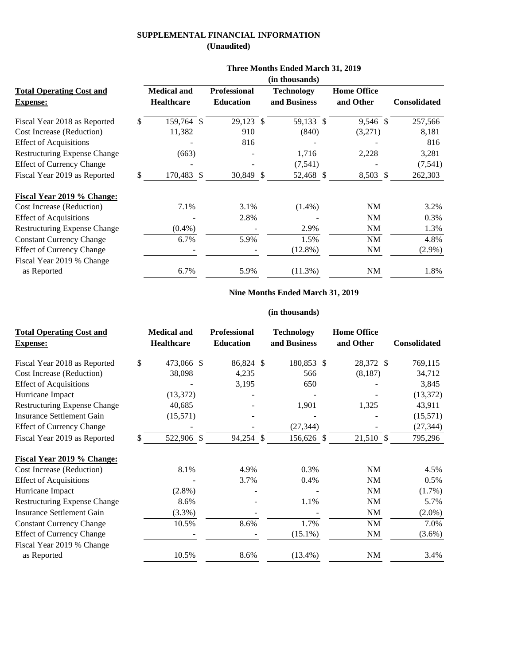## **SUPPLEMENTAL FINANCIAL INFORMATION (Unaudited)**

|                                     | (in thousands)     |  |                     |  |                   |  |                    |  |                     |  |  |  |
|-------------------------------------|--------------------|--|---------------------|--|-------------------|--|--------------------|--|---------------------|--|--|--|
| <b>Total Operating Cost and</b>     | <b>Medical and</b> |  | <b>Professional</b> |  | <b>Technology</b> |  | <b>Home Office</b> |  |                     |  |  |  |
| <b>Expense:</b>                     | <b>Healthcare</b>  |  | <b>Education</b>    |  | and Business      |  | and Other          |  | <b>Consolidated</b> |  |  |  |
| Fiscal Year 2018 as Reported        | \$<br>159,764 \$   |  | 29,123 \$           |  | 59,133 \$         |  | 9,546 \$           |  | 257,566             |  |  |  |
| <b>Cost Increase (Reduction)</b>    | 11,382             |  | 910                 |  | (840)             |  | (3,271)            |  | 8,181               |  |  |  |
| <b>Effect of Acquisitions</b>       |                    |  | 816                 |  |                   |  |                    |  | 816                 |  |  |  |
| <b>Restructuring Expense Change</b> | (663)              |  |                     |  | 1,716             |  | 2,228              |  | 3,281               |  |  |  |
| <b>Effect of Currency Change</b>    |                    |  |                     |  | (7, 541)          |  |                    |  | (7, 541)            |  |  |  |
| Fiscal Year 2019 as Reported        | 170,483 \$         |  | 30,849 \$           |  | 52,468 \$         |  | 8,503 \$           |  | 262,303             |  |  |  |
| Fiscal Year 2019 % Change:          |                    |  |                     |  |                   |  |                    |  |                     |  |  |  |
| <b>Cost Increase (Reduction)</b>    | 7.1%               |  | 3.1%                |  | $(1.4\%)$         |  | NM                 |  | 3.2%                |  |  |  |
| <b>Effect of Acquisitions</b>       |                    |  | 2.8%                |  |                   |  | <b>NM</b>          |  | 0.3%                |  |  |  |
| <b>Restructuring Expense Change</b> | $(0.4\%)$          |  |                     |  | 2.9%              |  | <b>NM</b>          |  | 1.3%                |  |  |  |
| <b>Constant Currency Change</b>     | 6.7%               |  | 5.9%                |  | 1.5%              |  | NM                 |  | 4.8%                |  |  |  |
| <b>Effect of Currency Change</b>    |                    |  |                     |  | $(12.8\%)$        |  | NM                 |  | $(2.9\%)$           |  |  |  |
| Fiscal Year 2019 % Change           |                    |  |                     |  |                   |  |                    |  |                     |  |  |  |
| as Reported                         | 6.7%               |  | 5.9%                |  | $(11.3\%)$        |  | <b>NM</b>          |  | 1.8%                |  |  |  |

#### **Three Months Ended March 31, 2019**

# **Nine Months Ended March 31, 2019**

#### **(in thousands)**

| <b>Total Operating Cost and</b><br><b>Expense:</b> | <b>Medical and</b><br><b>Healthcare</b> | <b>Professional</b><br><b>Education</b> | <b>Technology</b><br>and Business | <b>Home Office</b><br>and Other | <b>Consolidated</b> |
|----------------------------------------------------|-----------------------------------------|-----------------------------------------|-----------------------------------|---------------------------------|---------------------|
| Fiscal Year 2018 as Reported                       | 473,066 \$<br>\$                        | 86,824 \$                               | 180,853 \$                        | 28,372 \$                       | 769,115             |
| Cost Increase (Reduction)                          | 38,098                                  | 4,235                                   | 566                               | (8,187)                         | 34,712              |
| <b>Effect of Acquisitions</b>                      |                                         | 3,195                                   | 650                               |                                 | 3,845               |
| Hurricane Impact                                   | (13, 372)                               |                                         |                                   |                                 | (13, 372)           |
| <b>Restructuring Expense Change</b>                | 40,685                                  |                                         | 1,901                             | 1,325                           | 43,911              |
| <b>Insurance Settlement Gain</b>                   | (15, 571)                               |                                         |                                   |                                 | (15,571)            |
| <b>Effect of Currency Change</b>                   |                                         |                                         | (27, 344)                         |                                 | (27, 344)           |
| Fiscal Year 2019 as Reported                       | 522,906 \$                              | 94,254 \$                               | 156,626 \$                        | 21,510 \$                       | 795,296             |
| Fiscal Year 2019 % Change:                         |                                         |                                         |                                   |                                 |                     |
| Cost Increase (Reduction)                          | 8.1%                                    | 4.9%                                    | 0.3%                              | <b>NM</b>                       | 4.5%                |
| <b>Effect of Acquisitions</b>                      |                                         | 3.7%                                    | 0.4%                              | <b>NM</b>                       | $0.5\%$             |
| Hurricane Impact                                   | $(2.8\%)$                               |                                         |                                   | <b>NM</b>                       | (1.7%)              |
| <b>Restructuring Expense Change</b>                | 8.6%                                    |                                         | 1.1%                              | <b>NM</b>                       | 5.7%                |
| <b>Insurance Settlement Gain</b>                   | (3.3%)                                  |                                         |                                   | <b>NM</b>                       | $(2.0\%)$           |
| <b>Constant Currency Change</b>                    | 10.5%                                   | 8.6%                                    | 1.7%                              | NM                              | 7.0%                |
| <b>Effect of Currency Change</b>                   |                                         |                                         | $(15.1\%)$                        | <b>NM</b>                       | $(3.6\%)$           |
| Fiscal Year 2019 % Change                          |                                         |                                         |                                   |                                 |                     |
| as Reported                                        | 10.5%                                   | 8.6%                                    | $(13.4\%)$                        | <b>NM</b>                       | 3.4%                |